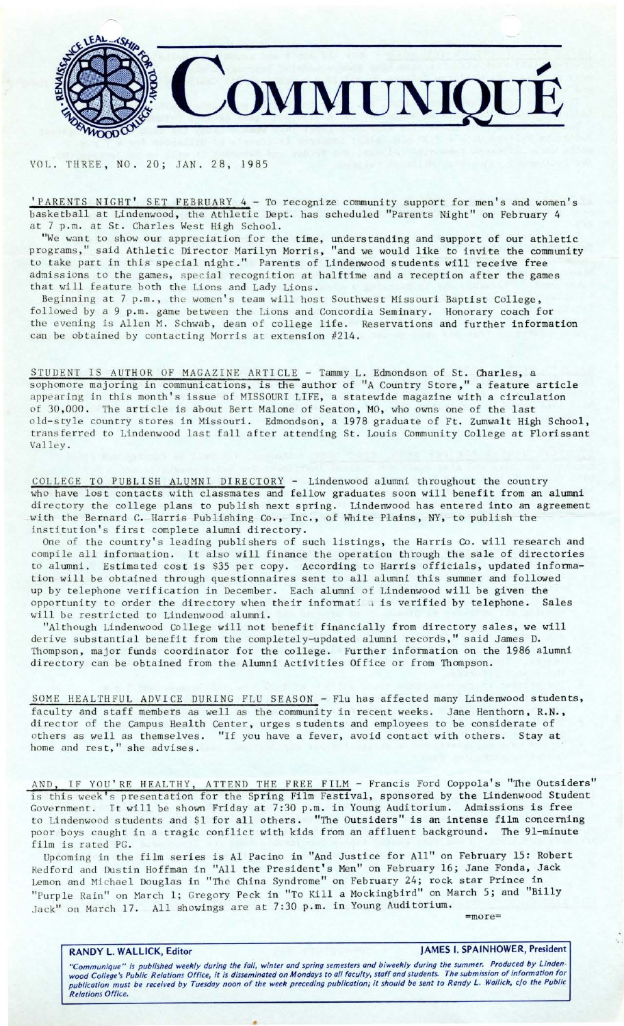

VOL. THREE, NO. 20; JAN. 28, 1985

'PARENTS NIGHT' SET FEBRUARY 4 - To recognize community support for men's and women's basketball at Lindenwood, the Athletic Dept. has scheduled "Parents Night" on February 4 at 7 p.m. at St. Charles West High School.

"We want to show our appreciation for the time, understanding and support of our athletic programs," said Athletic Director Marilyn Morris, "and we would like to invite the community to take part in this special night." Parents of Lindenwood students will receive free admissions to the games, special recognition at halftime and a reception after the games that will feature both the Lions and Lady Lions.

Beginning at 7 p.m., the women's team will host Southwest Missouri Baptist College, followed by a 9 p.m. game between the Lions and Concordia Seminary. Honorary coach for the evening is Allen M. Schwab, dean of college life. Reservations and further information can be obtained by contacting Morris at extension #214.

STUDENT IS AUTHOR OF MAGAZINE ARTICLE - Tammy L. Edmondson of St. Charles, a sophomore majoring in communications, is the author of "A Country Store," a feature article appearing in this month's issue of MISSOURI LIFE, a statewide magazine with a circulation of 30,000. The article is about Bert Malone of Seaton, MO, who owns one of the last old- style country stores in Missouri. Edmondson, a 1978 graduate of Ft. Zumwalt High School, transferred to Lindenwood last fall after attending St. Louis Community College at Florissant Valley .

COLLEGE TO PUBLISH ALUMNI DIRECTORY - Lindenwood alumni throughout the country who have lost contacts with classmates and fellow graduates soon will benefit from an alumni directory the college plans to publish next spring. Lindenwood has entered into an agreement with the Bernard C. Harris Publishing Co., Inc., of White Plains, NY, to publish the institution's first complete alumni directory.

One of the country's leading publishers of such listings, the Harris Co. will research and compile all information. It also will finance the operation through the sale of directories to alumni. Estimated cost is \$35 per copy. According to Harris officials, updated information will be obtained through questionnaires sent to all alumni this summer and followed up by telephone verification in December. Each alumni of Lindenwood will be given the opportunity to order the directory when their informati a is verified by telephone. Sales will be restricted to Lindenwood alumni.

"Although Lindenwood College will not benefit financially from directory sales, we will derive substantial benefit from the completely-updated alumni records," said James D. Thompson, major funds coordinator for the college. Further information on the 1986 alumni directory can be obtained from the Alumni Activities Office or from Thompson.

SOME HEALTHFUL ADVICE DURING FLU SEASON - Flu has affected many Lindenwood students, faculty and staff members as well as the community in recent weeks. Jane Henthorn, R.N., director of the Campus Health Center, urges students and employees to be considerate of others as well as themselves. "If you have a fever, avoid contact with others. Stay at home and rest," she advises.

AND, IF YOU'RE HEALTHY, ATTEND THE FREE FILM - Francis Ford Coppola's "The Outsiders" is this week's presentation for the Spring Film Festival, sponsored by the Lindenwood Student Government. It will be shown Friday at 7:30 p.m. in Young Auditorium. Admissions is free to Lindenwood students and \$1 for all others. "The Outsiders" is an intense film concerning poor boys caught in a tragic conflict with kids from an affluent background. The 91-minute film is rated PG.

Upcoming in the film series is Al Pacino in "And Justice for All" on February 15: Robert Redford and Dustin Hoffman in "All the President's Men" on February 16; Jane Fonda, Jack Lemon and Michael Douglas in "The China Syndrome" on February 24; rock star Prince in "Purple Rain" on March 1; Gregory Peck in "To Kill a Mockingbird" on March 5; and "Billy Jack" on March 17. All showings are at 7:30 p.m. in Young Auditorium. = more=

## RANDY L. WALLICK, Editor **JAMES I. SPAINHOWER, President**

"Communique" is published weekly during the fall, winter and spring semesters and biweekly during the summer. Produced by Linden-<br>wood College's Public Relations Office, it is disseminated on Mondays to all faculty, staff publication must be received by Tuesday noon of the week preceding publication; it should be sent to Randy *L.* Wallick, c/o the Public Relations Office.